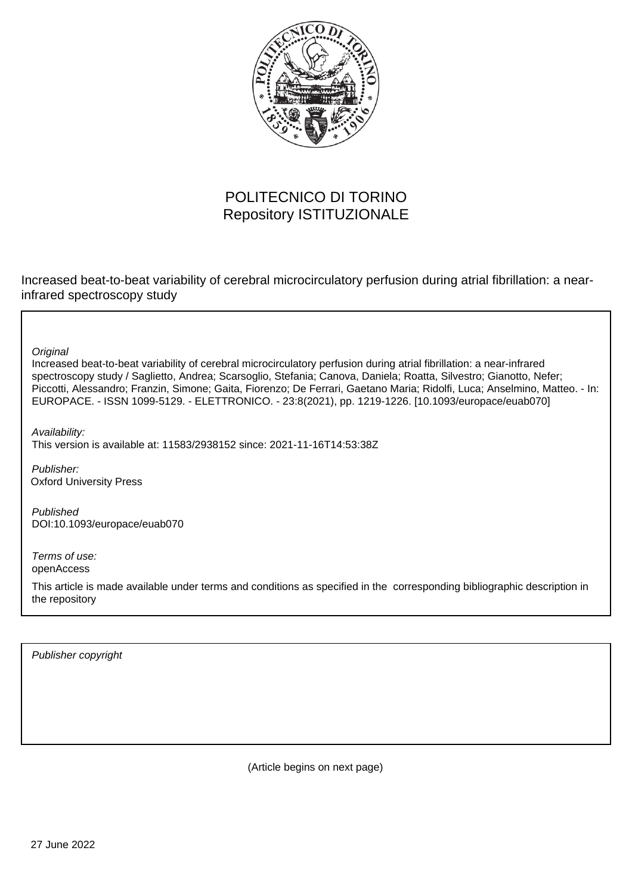

# POLITECNICO DI TORINO Repository ISTITUZIONALE

Increased beat-to-beat variability of cerebral microcirculatory perfusion during atrial fibrillation: a nearinfrared spectroscopy study

**Original** 

Increased beat-to-beat variability of cerebral microcirculatory perfusion during atrial fibrillation: a near-infrared spectroscopy study / Saglietto, Andrea; Scarsoglio, Stefania; Canova, Daniela; Roatta, Silvestro; Gianotto, Nefer; Piccotti, Alessandro; Franzin, Simone; Gaita, Fiorenzo; De Ferrari, Gaetano Maria; Ridolfi, Luca; Anselmino, Matteo. - In: EUROPACE. - ISSN 1099-5129. - ELETTRONICO. - 23:8(2021), pp. 1219-1226. [10.1093/europace/euab070]

Availability: This version is available at: 11583/2938152 since: 2021-11-16T14:53:38Z

Publisher: Oxford University Press

Published DOI:10.1093/europace/euab070

Terms of use: openAccess

This article is made available under terms and conditions as specified in the corresponding bibliographic description in the repository

Publisher copyright

(Article begins on next page)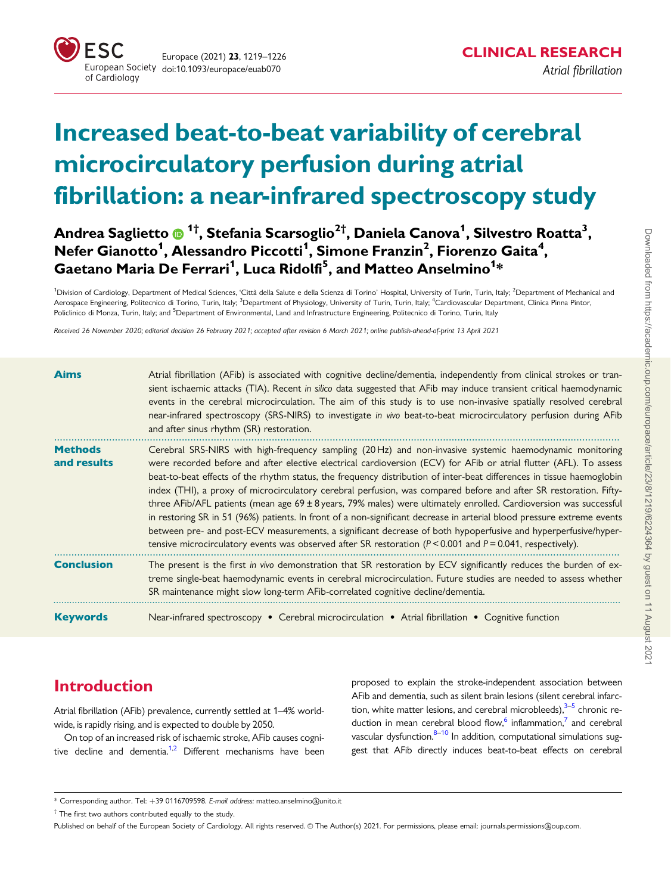

# Increased beat-to-beat variability of cerebral microcirculatory perfusion during atrial fibrillation: a near-infrared spectroscopy study

Andrea Saglietto ��� <sup>1†</sup>, Stefania Scarsoglio<sup>2†</sup>, Daniela Canova<sup>1</sup>, Silvestro Roatta<sup>3</sup>,  $\mathsf{N}$ efer Gianotto $^1$ , Alessandro Piccotti $^1$ , Simone Franzin $^2$ , Fiorenzo Gaita $^4$ , Gaetano Maria De Ferrari<sup>1</sup>, Luca Ridolfi<sup>5</sup>, and Matteo Anselmino<sup>1</sup>\*

<sup>1</sup>Division of Cardiology, Department of Medical Sciences, 'Città della Salute e della Scienza di Torino' Hospital, University of Turin, Turin, Italy; <sup>2</sup>Department of Mechanical and Aerospace Engineering, Politecnico di Torino, Turin, Italy; <sup>3</sup>Department of Physiology, University of Turin, Turin, Italy; <sup>4</sup>Cardiovascular Department, Clinica Pinna Pintor, Policlinico di Monza, Turin, Italy; and <sup>5</sup>Department of Environmental, Land and Infrastructure Engineering, Politecnico di Torino, Turin, Italy

Received 26 November 2020; editorial decision 26 February 2021; accepted after revision 6 March 2021; online publish-ahead-of-print 13 April 2021

| <b>Aims</b>                   | Atrial fibrillation (AFib) is associated with cognitive decline/dementia, independently from clinical strokes or tran-<br>sient ischaemic attacks (TIA). Recent in silico data suggested that AFib may induce transient critical haemodynamic<br>events in the cerebral microcirculation. The aim of this study is to use non-invasive spatially resolved cerebral<br>near-infrared spectroscopy (SRS-NIRS) to investigate in vivo beat-to-beat microcirculatory perfusion during AFib<br>and after sinus rhythm (SR) restoration.                                                                                                                                                                                                                                                                                                                                                                                                                                    |
|-------------------------------|-----------------------------------------------------------------------------------------------------------------------------------------------------------------------------------------------------------------------------------------------------------------------------------------------------------------------------------------------------------------------------------------------------------------------------------------------------------------------------------------------------------------------------------------------------------------------------------------------------------------------------------------------------------------------------------------------------------------------------------------------------------------------------------------------------------------------------------------------------------------------------------------------------------------------------------------------------------------------|
| <b>Methods</b><br>and results | Cerebral SRS-NIRS with high-frequency sampling (20 Hz) and non-invasive systemic haemodynamic monitoring<br>were recorded before and after elective electrical cardioversion (ECV) for AFib or atrial flutter (AFL). To assess<br>beat-to-beat effects of the rhythm status, the frequency distribution of inter-beat differences in tissue haemoglobin<br>index (THI), a proxy of microcirculatory cerebral perfusion, was compared before and after SR restoration. Fifty-<br>three AFib/AFL patients (mean age $69 \pm 8$ years, 79% males) were ultimately enrolled. Cardioversion was successful<br>in restoring SR in 51 (96%) patients. In front of a non-significant decrease in arterial blood pressure extreme events<br>between pre- and post-ECV measurements, a significant decrease of both hypoperfusive and hyperperfusive/hyper-<br>tensive microcirculatory events was observed after SR restoration ( $P < 0.001$ and $P = 0.041$ , respectively). |
| <b>Conclusion</b>             | The present is the first in vivo demonstration that SR restoration by ECV significantly reduces the burden of ex-<br>treme single-beat haemodynamic events in cerebral microcirculation. Future studies are needed to assess whether<br>SR maintenance might slow long-term AFib-correlated cognitive decline/dementia.                                                                                                                                                                                                                                                                                                                                                                                                                                                                                                                                                                                                                                               |
| <b>Keywords</b>               | Near-infrared spectroscopy • Cerebral microcirculation • Atrial fibrillation • Cognitive function                                                                                                                                                                                                                                                                                                                                                                                                                                                                                                                                                                                                                                                                                                                                                                                                                                                                     |

# Introduction

Atrial fibrillation (AFib) prevalence, currently settled at 1–4% worldwide, is rapidly rising, and is expected to double by 2050.

On top of an increased risk of ischaemic stroke, AFib causes cognitive decline and dementia.<sup>1,2</sup> Different mechanisms have been

proposed to explain the stroke-independent association between AFib and dementia, such as silent brain lesions (silent cerebral infarction, white matter lesions, and cerebral microbleeds), $3-5$  chronic reduction in mean cerebral blood flow,<sup>6</sup> inflammation, $\frac{7}{7}$  and cerebral vascular dysfunction. $8-10$  In addition, computational simulations suggest that AFib directly induces beat-to-beat effects on cerebral

<sup>\*</sup> Corresponding author. Tel: þ39 0116709598. E-mail address: matteo.anselmino@unito.it

<sup>†</sup> The first two authors contributed equally to the study.

Published on behalf of the European Society of Cardiology. All rights reserved. © The Author(s) 2021. For permissions, please email: journals.permissions@oup.com.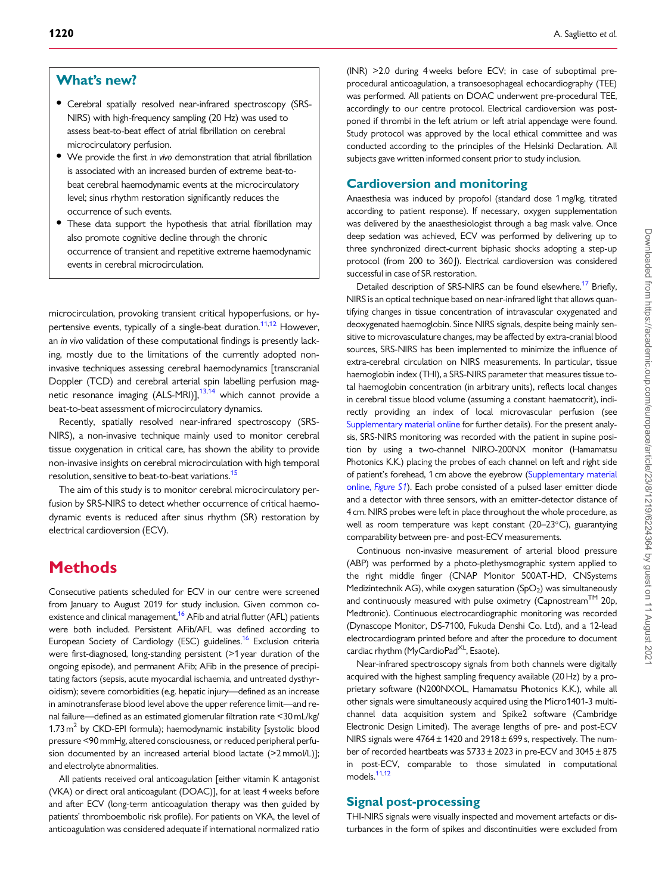## What's new?

- Cerebral spatially resolved near-infrared spectroscopy (SRS-NIRS) with high-frequency sampling (20 Hz) was used to assess beat-to-beat effect of atrial fibrillation on cerebral microcirculatory perfusion.
- We provide the first in vivo demonstration that atrial fibrillation is associated with an increased burden of extreme beat-tobeat cerebral haemodynamic events at the microcirculatory level; sinus rhythm restoration significantly reduces the occurrence of such events.
- These data support the hypothesis that atrial fibrillation may also promote cognitive decline through the chronic occurrence of transient and repetitive extreme haemodynamic events in cerebral microcirculation.

microcirculation, provoking transient critical hypoperfusions, or hypertensive events, typically of a single-beat duration.<sup>11,12</sup> However, an in vivo validation of these computational findings is presently lacking, mostly due to the limitations of the currently adopted noninvasive techniques assessing cerebral haemodynamics [transcranial Doppler (TCD) and cerebral arterial spin labelling perfusion magnetic resonance imaging (ALS-MRI)],<sup>13,14</sup> which cannot provide a beat-to-beat assessment of microcirculatory dynamics.

Recently, spatially resolved near-infrared spectroscopy (SRS-NIRS), a non-invasive technique mainly used to monitor cerebral tissue oxygenation in critical care, has shown the ability to provide non-invasive insights on cerebral microcirculation with high temporal resolution, sensitive to beat-to-beat variations.<sup>15</sup>

The aim of this study is to monitor cerebral microcirculatory perfusion by SRS-NIRS to detect whether occurrence of critical haemodynamic events is reduced after sinus rhythm (SR) restoration by electrical cardioversion (ECV).

## **Methods**

Consecutive patients scheduled for ECV in our centre were screened from January to August 2019 for study inclusion. Given common coexistence and clinical management,<sup>16</sup> AFib and atrial flutter (AFL) patients were both included. Persistent AFib/AFL was defined according to European Society of Cardiology (ESC) guidelines.<sup>16</sup> Exclusion criteria were first-diagnosed, long-standing persistent (>1 year duration of the ongoing episode), and permanent AFib; AFib in the presence of precipitating factors (sepsis, acute myocardial ischaemia, and untreated dysthyroidism); severe comorbidities (e.g. hepatic injury—defined as an increase in aminotransferase blood level above the upper reference limit—and renal failure—defined as an estimated glomerular filtration rate <30 mL/kg/ 1.73  $m^2$  by CKD-EPI formula); haemodynamic instability [systolic blood pressure <90 mmHg, altered consciousness, or reduced peripheral perfusion documented by an increased arterial blood lactate (>2mmol/L)]; and electrolyte abnormalities.

All patients received oral anticoagulation [either vitamin K antagonist (VKA) or direct oral anticoagulant (DOAC)], for at least 4 weeks before and after ECV (long-term anticoagulation therapy was then guided by patients' thromboembolic risk profile). For patients on VKA, the level of anticoagulation was considered adequate if international normalized ratio

(INR) >2.0 during 4 weeks before ECV; in case of suboptimal preprocedural anticoagulation, a transoesophageal echocardiography (TEE) was performed. All patients on DOAC underwent pre-procedural TEE, accordingly to our centre protocol. Electrical cardioversion was postponed if thrombi in the left atrium or left atrial appendage were found. Study protocol was approved by the local ethical committee and was conducted according to the principles of the Helsinki Declaration. All subjects gave written informed consent prior to study inclusion.

#### Cardioversion and monitoring

Anaesthesia was induced by propofol (standard dose 1 mg/kg, titrated according to patient response). If necessary, oxygen supplementation was delivered by the anaesthesiologist through a bag mask valve. Once deep sedation was achieved, ECV was performed by delivering up to three synchronized direct-current biphasic shocks adopting a step-up protocol (from 200 to 360)). Electrical cardioversion was considered successful in case of SR restoration.

Detailed description of SRS-NIRS can be found elsewhere.<sup>17</sup> Briefly, NIRS is an optical technique based on near-infrared light that allows quantifying changes in tissue concentration of intravascular oxygenated and deoxygenated haemoglobin. Since NIRS signals, despite being mainly sensitive to microvasculature changes, may be affected by extra-cranial blood sources, SRS-NIRS has been implemented to minimize the influence of extra-cerebral circulation on NIRS measurements. In particular, tissue haemoglobin index (THI), a SRS-NIRS parameter that measures tissue total haemoglobin concentration (in arbitrary units), reflects local changes in cerebral tissue blood volume (assuming a constant haematocrit), indirectly providing an index of local microvascular perfusion (see [Supplementary material online](https://academic.oup.com/europace/article-lookup/doi/10.1093/europace/euab070#supplementary-data) for further details). For the present analysis, SRS-NIRS monitoring was recorded with the patient in supine position by using a two-channel NIRO-200NX monitor (Hamamatsu Photonics K.K.) placing the probes of each channel on left and right side of patient's forehead, 1 cm above the eyebrow [\(Supplementary material](https://academic.oup.com/europace/article-lookup/doi/10.1093/europace/euab070#supplementary-data) online, [Figure S1](https://academic.oup.com/europace/article-lookup/doi/10.1093/europace/euab070#supplementary-data)). Each probe consisted of a pulsed laser emitter diode and a detector with three sensors, with an emitter-detector distance of 4 cm. NIRS probes were left in place throughout the whole procedure, as well as room temperature was kept constant (20-23°C), guarantying comparability between pre- and post-ECV measurements.

Continuous non-invasive measurement of arterial blood pressure (ABP) was performed by a photo-plethysmographic system applied to the right middle finger (CNAP Monitor 500AT-HD, CNSystems Medizintechnik AG), while oxygen saturation  $(SpO<sub>2</sub>)$  was simultaneously and continuously measured with pulse oximetry (Capnostream<sup>TM</sup> 20p, Medtronic). Continuous electrocardiographic monitoring was recorded (Dynascope Monitor, DS-7100, Fukuda Denshi Co. Ltd), and a 12-lead electrocardiogram printed before and after the procedure to document cardiac rhythm (MyCardioPad<sup>XL</sup>, Esaote).

Near-infrared spectroscopy signals from both channels were digitally acquired with the highest sampling frequency available (20 Hz) by a proprietary software (N200NXOL, Hamamatsu Photonics K.K.), while all other signals were simultaneously acquired using the Micro1401-3 multichannel data acquisition system and Spike2 software (Cambridge Electronic Design Limited). The average lengths of pre- and post-ECV NIRS signals were 4764± 1420 and 2918± 699 s, respectively. The number of recorded heartbeats was 5733± 2023 in pre-ECV and 3045± 875 in post-ECV, comparable to those simulated in computational models.<sup>11,12</sup>

#### Signal post-processing

THI-NIRS signals were visually inspected and movement artefacts or disturbances in the form of spikes and discontinuities were excluded from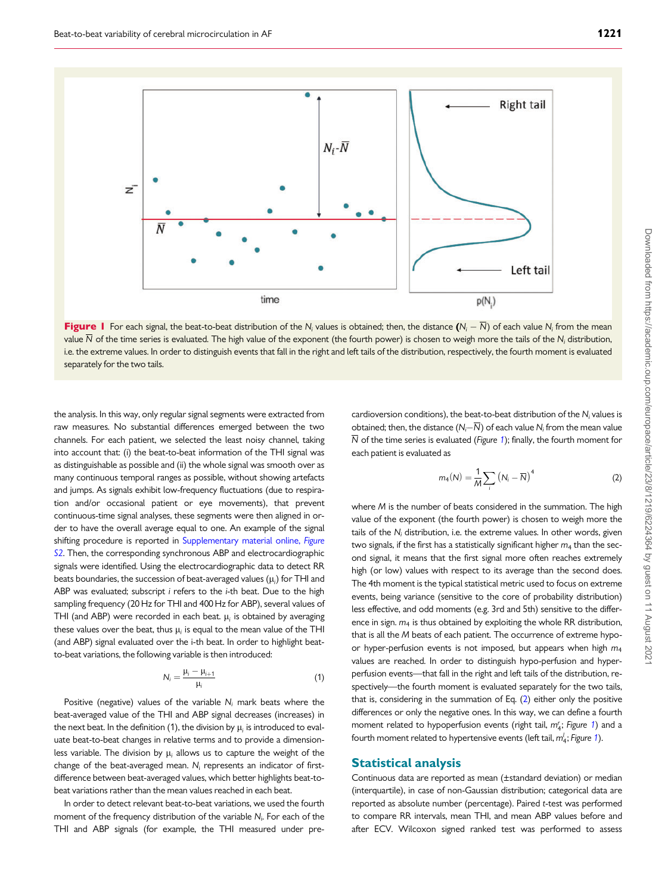

**Figure 1** For each signal, the beat-to-beat distribution of the N<sub>i</sub> values is obtained; then, the distance  $(N_i - \overline{N})$  of each value N<sub>i</sub> from the mean value  $\overline{N}$  of the time series is evaluated. The high value of the exponent (the fourth power) is chosen to weigh more the tails of the N<sub>i</sub> distribution, i.e. the extreme values. In order to distinguish events that fall in the right and left tails of the distribution, respectively, the fourth moment is evaluated separately for the two tails.

the analysis. In this way, only regular signal segments were extracted from raw measures. No substantial differences emerged between the two channels. For each patient, we selected the least noisy channel, taking into account that: (i) the beat-to-beat information of the THI signal was as distinguishable as possible and (ii) the whole signal was smooth over as many continuous temporal ranges as possible, without showing artefacts and jumps. As signals exhibit low-frequency fluctuations (due to respiration and/or occasional patient or eye movements), that prevent continuous-time signal analyses, these segments were then aligned in order to have the overall average equal to one. An example of the signal shifting procedure is reported in [Supplementary material online,](https://academic.oup.com/europace/article-lookup/doi/10.1093/europace/euab070#supplementary-data) Figure [S2](https://academic.oup.com/europace/article-lookup/doi/10.1093/europace/euab070#supplementary-data). Then, the corresponding synchronous ABP and electrocardiographic signals were identified. Using the electrocardiographic data to detect RR beats boundaries, the succession of beat-averaged values  $(\mu_i)$  for THI and ABP was evaluated; subscript i refers to the i-th beat. Due to the high sampling frequency (20 Hz for THI and 400 Hz for ABP), several values of THI (and ABP) were recorded in each beat.  $\mu_i$  is obtained by averaging these values over the beat, thus  $\mu_i$  is equal to the mean value of the THI (and ABP) signal evaluated over the i-th beat. In order to highlight beatto-beat variations, the following variable is then introduced:

$$
N_i = \frac{\mu_i - \mu_{i+1}}{\mu_i} \tag{1}
$$

Positive (negative) values of the variable  $N_i$  mark beats where the beat-averaged value of the THI and ABP signal decreases (increases) in the next beat. In the definition (1), the division by  $\mu_i$  is introduced to evaluate beat-to-beat changes in relative terms and to provide a dimensionless variable. The division by  $\mu_i$  allows us to capture the weight of the change of the beat-averaged mean.  $N_i$  represents an indicator of firstdifference between beat-averaged values, which better highlights beat-tobeat variations rather than the mean values reached in each beat.

In order to detect relevant beat-to-beat variations, we used the fourth moment of the frequency distribution of the variable  $N_{\text{i}}$ . For each of the THI and ABP signals (for example, the THI measured under precardioversion conditions), the beat-to-beat distribution of the  $N_i$  values is obtained; then, the distance  $(N_i-N)$  of each value  $N_i$  from the mean value  $\overline{N}$  of the time series is evaluated (*Figure 1*); finally, the fourth moment for each patient is evaluated as

$$
m_4(N) = \frac{1}{M} \sum_i \left( N_i - \overline{N} \right)^4 \tag{2}
$$

where M is the number of beats considered in the summation. The high value of the exponent (the fourth power) is chosen to weigh more the tails of the  $N_i$  distribution, i.e. the extreme values. In other words, given two signals, if the first has a statistically significant higher  $m_4$  than the second signal, it means that the first signal more often reaches extremely high (or low) values with respect to its average than the second does. The 4th moment is the typical statistical metric used to focus on extreme events, being variance (sensitive to the core of probability distribution) less effective, and odd moments (e.g. 3rd and 5th) sensitive to the difference in sign.  $m_4$  is thus obtained by exploiting the whole RR distribution, that is all the M beats of each patient. The occurrence of extreme hypoor hyper-perfusion events is not imposed, but appears when high  $m_4$ values are reached. In order to distinguish hypo-perfusion and hyperperfusion events—that fall in the right and left tails of the distribution, respectively—the fourth moment is evaluated separately for the two tails, that is, considering in the summation of Eq. (2) either only the positive differences or only the negative ones. In this way, we can define a fourth moment related to hypoperfusion events (right tail,  $m_4$ ; Figure 1) and a fourth moment related to hypertensive events (left tail,  $m_4^\prime;$  Figure 1).

#### Statistical analysis

Continuous data are reported as mean (±standard deviation) or median (interquartile), in case of non-Gaussian distribution; categorical data are reported as absolute number (percentage). Paired t-test was performed to compare RR intervals, mean THI, and mean ABP values before and after ECV. Wilcoxon signed ranked test was performed to assess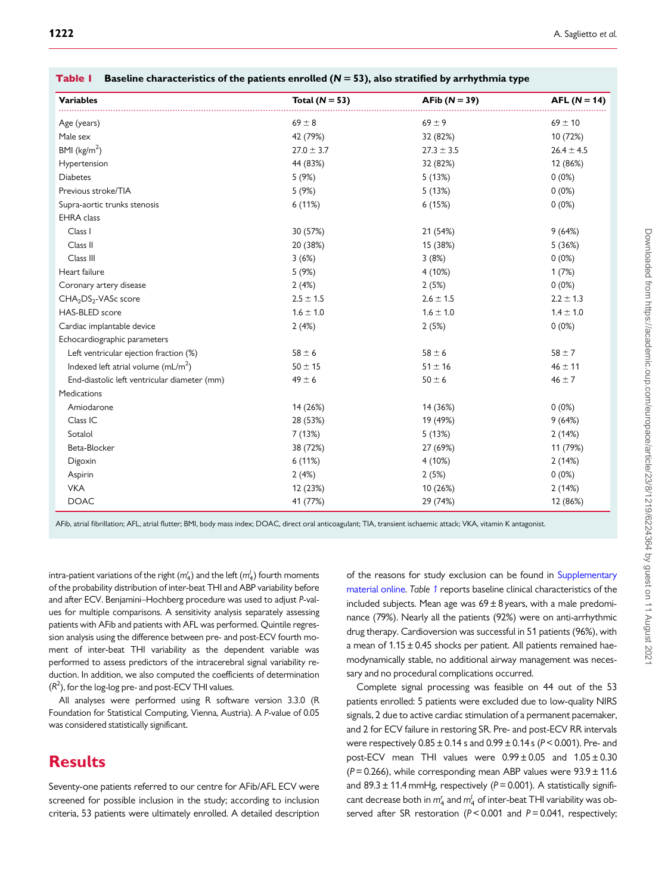| <b>Variables</b>                             | Total $(N = 53)$ | AFib $(N = 39)$ | $AFL (N = 14)$ |
|----------------------------------------------|------------------|-----------------|----------------|
| Age (years)                                  | $69 \pm 8$       | $69 \pm 9$      | $69 \pm 10$    |
| Male sex                                     | 42 (79%)         | 32 (82%)        | 10 (72%)       |
| BMI ( $\text{kg/m}^2$ )                      | $27.0 \pm 3.7$   | $27.3 \pm 3.5$  | $26.4 \pm 4.5$ |
| Hypertension                                 | 44 (83%)         | 32 (82%)        | 12 (86%)       |
| <b>Diabetes</b>                              | 5(9%)            | 5(13%)          | 0(0%)          |
| Previous stroke/TIA                          | 5 (9%)           | 5(13%)          | 0(0%)          |
| Supra-aortic trunks stenosis                 | 6 (11%)          | 6(15%)          | 0(0%)          |
| <b>EHRA</b> class                            |                  |                 |                |
| Class I                                      | 30 (57%)         | 21 (54%)        | 9(64%)         |
| Class II                                     | 20 (38%)         | 15 (38%)        | 5(36%)         |
| Class III                                    | 3(6%)            | 3(8%)           | $0(0\%)$       |
| Heart failure                                | 5(9%)            | 4 (10%)         | 1(7%)          |
| Coronary artery disease                      | 2(4%)            | 2(5%)           | 0(0%)          |
| CHA <sub>2</sub> DS <sub>2</sub> -VASc score | $2.5 \pm 1.5$    | $2.6 \pm 1.5$   | $2.2 \pm 1.3$  |
| <b>HAS-BLED</b> score                        | $1.6 \pm 1.0$    | $1.6 \pm 1.0$   | $1.4 \pm 1.0$  |
| Cardiac implantable device                   | 2(4%)            | 2(5%)           | $0(0\%)$       |
| Echocardiographic parameters                 |                  |                 |                |
| Left ventricular ejection fraction (%)       | $58 \pm 6$       | $58 \pm 6$      | $58 \pm 7$     |
| Indexed left atrial volume $(mL/m2)$         | $50 \pm 15$      | $51 \pm 16$     | $46 \pm 11$    |
| End-diastolic left ventricular diameter (mm) | $49 \pm 6$       | $50 \pm 6$      | $46 \pm 7$     |
| Medications                                  |                  |                 |                |
| Amiodarone                                   | 14 (26%)         | 14 (36%)        | $0(0\%)$       |
| Class IC                                     | 28 (53%)         | 19 (49%)        | 9(64%)         |
| Sotalol                                      | 7 (13%)          | 5(13%)          | 2(14%)         |
| Beta-Blocker                                 | 38 (72%)         | 27 (69%)        | 11 (79%)       |
| Digoxin                                      | 6(11%)           | 4(10%)          | 2(14%)         |
| Aspirin                                      | 2(4%)            | 2(5%)           | $0(0\%)$       |
| <b>VKA</b>                                   | 12 (23%)         | 10 (26%)        | 2(14%)         |
| <b>DOAC</b>                                  | 41 (77%)         | 29 (74%)        | 12 (86%)       |

|  | Table $I$ Baseline characteristics of the patients enrolled ( $N = 53$ ), also stratified by arrhythmia type |  |  |  |
|--|--------------------------------------------------------------------------------------------------------------|--|--|--|
|--|--------------------------------------------------------------------------------------------------------------|--|--|--|

AFib, atrial fibrillation; AFL, atrial flutter; BMI, body mass index; DOAC, direct oral anticoagulant; TIA, transient ischaemic attack; VKA, vitamin K antagonist.

intra-patient variations of the right  $(m_4')$  and the left  $(m_4')$  fourth moments of the probability distribution of inter-beat THI and ABP variability before and after ECV. Benjamini–Hochberg procedure was used to adjust P-values for multiple comparisons. A sensitivity analysis separately assessing patients with AFib and patients with AFL was performed. Quintile regression analysis using the difference between pre- and post-ECV fourth moment of inter-beat THI variability as the dependent variable was performed to assess predictors of the intracerebral signal variability reduction. In addition, we also computed the coefficients of determination  $(R<sup>2</sup>)$ , for the log-log pre- and post-ECV THI values.

All analyses were performed using R software version 3.3.0 (R Foundation for Statistical Computing, Vienna, Austria). A P-value of 0.05 was considered statistically significant.

# **Results**

Seventy-one patients referred to our centre for AFib/AFL ECV were screened for possible inclusion in the study; according to inclusion criteria, 53 patients were ultimately enrolled. A detailed description of the reasons for study exclusion can be found in [Supplementary](https://academic.oup.com/europace/article-lookup/doi/10.1093/europace/euab070#supplementary-data) [material online.](https://academic.oup.com/europace/article-lookup/doi/10.1093/europace/euab070#supplementary-data) Table 1 reports baseline clinical characteristics of the included subjects. Mean age was  $69 \pm 8$  years, with a male predominance (79%). Nearly all the patients (92%) were on anti-arrhythmic drug therapy. Cardioversion was successful in 51 patients (96%), with a mean of  $1.15 \pm 0.45$  shocks per patient. All patients remained haemodynamically stable, no additional airway management was necessary and no procedural complications occurred.

Complete signal processing was feasible on 44 out of the 53 patients enrolled: 5 patients were excluded due to low-quality NIRS signals, 2 due to active cardiac stimulation of a permanent pacemaker, and 2 for ECV failure in restoring SR. Pre- and post-ECV RR intervals were respectively  $0.85 \pm 0.14$  s and  $0.99 \pm 0.14$  s ( $P < 0.001$ ). Pre- and post-ECV mean THI values were  $0.99 \pm 0.05$  and  $1.05 \pm 0.30$ ( $P = 0.266$ ), while corresponding mean ABP values were  $93.9 \pm 11.6$ and 89.3  $\pm$  11.4 mmHg, respectively (P = 0.001). A statistically significant decrease both in  $m_4^r$  and  $m_4^l$  of inter-beat THI variability was observed after SR restoration ( $P < 0.001$  and  $P = 0.041$ , respectively;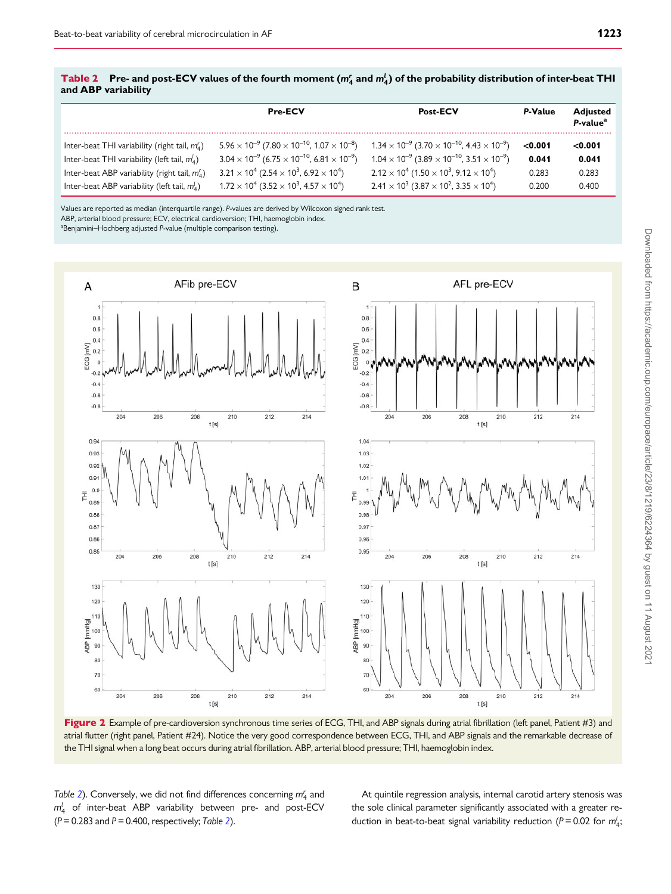|                     |  | Table 2 Pre- and post-ECV values of the fourth moment $(m'_4$ and $m'_4$ ) of the probability distribution of inter-beat THI |  |
|---------------------|--|------------------------------------------------------------------------------------------------------------------------------|--|
| and ABP variability |  |                                                                                                                              |  |

|                                                   | <b>Pre-ECV</b>                                                                            | <b>Post-ECV</b>                                                                           | P-Value | <b>Adjusted</b><br>P-value <sup>a</sup> |
|---------------------------------------------------|-------------------------------------------------------------------------------------------|-------------------------------------------------------------------------------------------|---------|-----------------------------------------|
| Inter-beat THI variability (right tail, $m_A^r$ ) | $5.96 \times 10^{-9}$ (7.80 $\times$ 10 <sup>-10</sup> , 1.07 $\times$ 10 <sup>-8</sup> ) | $1.34 \times 10^{-9}$ (3.70 $\times$ 10 <sup>-10</sup> , 4.43 $\times$ 10 <sup>-9</sup> ) | < 0.001 | < 0.001                                 |
| Inter-beat THI variability (left tail, $m_A^l$ )  | $3.04 \times 10^{-9}$ (6.75 $\times$ 10 <sup>-10</sup> , 6.81 $\times$ 10 <sup>-9</sup> ) | $1.04 \times 10^{-9}$ (3.89 $\times$ 10 <sup>-10</sup> , 3.51 $\times$ 10 <sup>-9</sup> ) | 0.041   | 0.041                                   |
| Inter-beat ABP variability (right tail, $m_A^r$ ) | $3.21 \times 10^4$ (2.54 $\times$ 10 <sup>3</sup> , 6.92 $\times$ 10 <sup>4</sup> )       | $2.12 \times 10^4$ (1.50 $\times$ 10 <sup>3</sup> , 9.12 $\times$ 10 <sup>4</sup> )       | 0.283   | 0.283                                   |
| Inter-beat ABP variability (left tail, $m_A^l$ )  | $1.72 \times 10^4$ (3.52 $\times$ 10 <sup>3</sup> , 4.57 $\times$ 10 <sup>4</sup> )       | $2.41 \times 10^3$ (3.87 $\times$ 10 <sup>2</sup> , 3.35 $\times$ 10 <sup>4</sup> )       | 0.200   | 0.400                                   |

Values are reported as median (interquartile range). P-values are derived by Wilcoxon signed rank test. ABP, arterial blood pressure; ECV, electrical cardioversion; THI, haemoglobin index.

<sup>a</sup>Benjamini–Hochberg adjusted P-value (multiple comparison testing).



Figure 2 Example of pre-cardioversion synchronous time series of ECG, THI, and ABP signals during atrial fibrillation (left panel, Patient #3) and atrial flutter (right panel, Patient #24). Notice the very good correspondence between ECG, THI, and ABP signals and the remarkable decrease of the THI signal when a long beat occurs during atrial fibrillation. ABP, arterial blood pressure; THI, haemoglobin index.

Table 2). Conversely, we did not find differences concerning  $m_4^r$  and  $m_4$  of inter-beat ABP variability between pre- and post-ECV  $(P = 0.283$  and  $P = 0.400$ , respectively; Table 2).

At quintile regression analysis, internal carotid artery stenosis was the sole clinical parameter significantly associated with a greater reduction in beat-to-beat signal variability reduction ( $P = 0.02$  for  $m_4^l$ ;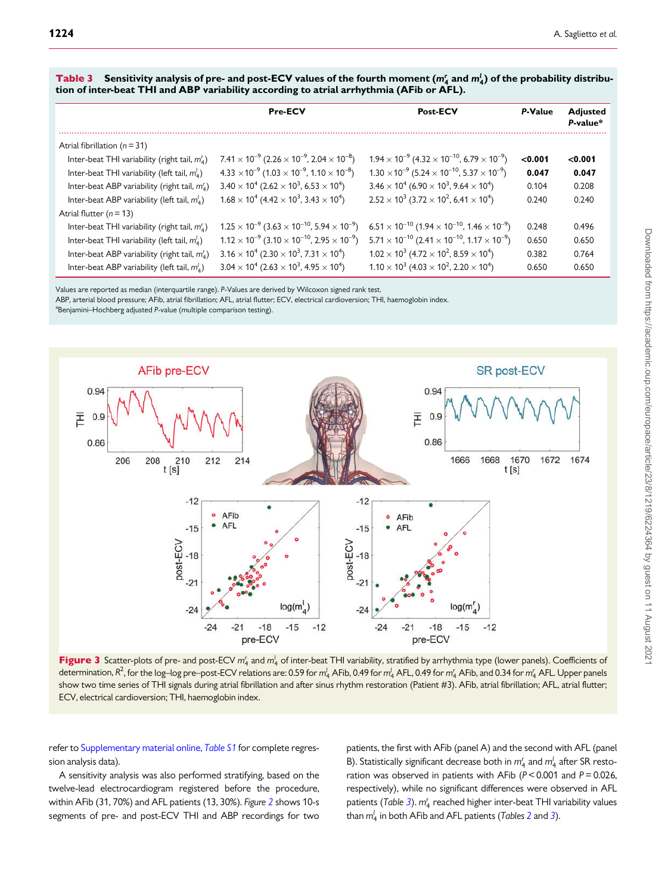|                                                   | <b>Pre-ECV</b>                                                                            | <b>Post-ECV</b>                                                                            | P-Value | <b>Adjusted</b><br>P-value* |
|---------------------------------------------------|-------------------------------------------------------------------------------------------|--------------------------------------------------------------------------------------------|---------|-----------------------------|
| Atrial fibrillation ( $n = 31$ )                  |                                                                                           |                                                                                            |         |                             |
| Inter-beat THI variability (right tail, $m_A^r$ ) | $7.41 \times 10^{-9}$ (2.26 $\times$ 10 <sup>-9</sup> , 2.04 $\times$ 10 <sup>-8</sup> )  | $1.94 \times 10^{-9}$ (4.32 $\times$ 10 <sup>-10</sup> , 6.79 $\times$ 10 <sup>-9</sup> )  | < 0.001 | < 0.001                     |
| Inter-beat THI variability (left tail, $m_A^l$ )  | $4.33 \times 10^{-9}$ (1.03 $\times$ 10 <sup>-9</sup> , 1.10 $\times$ 10 <sup>-8</sup> )  | $1.30 \times 10^{-9}$ (5.24 $\times$ 10 <sup>-10</sup> , 5.37 $\times$ 10 <sup>-9</sup> )  | 0.047   | 0.047                       |
| Inter-beat ABP variability (right tail, $m_A^r$ ) | $3.40 \times 10^4$ (2.62 $\times$ 10 <sup>3</sup> , 6.53 $\times$ 10 <sup>4</sup> )       | $3.46 \times 10^4$ (6.90 $\times$ 10 <sup>3</sup> , 9.64 $\times$ 10 <sup>4</sup> )        | 0.104   | 0.208                       |
| Inter-beat ABP variability (left tail, $m_A^l$ )  | $1.68 \times 10^4$ (4.42 $\times$ 10 <sup>3</sup> , 3.43 $\times$ 10 <sup>4</sup> )       | $2.52 \times 10^3$ (3.72 $\times$ 10 <sup>2</sup> , 6.41 $\times$ 10 <sup>4</sup> )        | 0.240   | 0.240                       |
| Atrial flutter $(n = 13)$                         |                                                                                           |                                                                                            |         |                             |
| Inter-beat THI variability (right tail, $m_A^r$ ) | $1.25 \times 10^{-9}$ (3.63 $\times$ 10 <sup>-10</sup> , 5.94 $\times$ 10 <sup>-9</sup> ) | $6.51 \times 10^{-10}$ (1.94 $\times$ 10 <sup>-10</sup> , 1.46 $\times$ 10 <sup>-9</sup> ) | 0.248   | 0.496                       |
| Inter-beat THI variability (left tail, $m_A^l$ )  | $1.12 \times 10^{-9}$ $(3.10 \times 10^{-10}, 2.95 \times 10^{-9})$                       | $5.71 \times 10^{-10}$ (2.41 $\times$ 10 <sup>-10</sup> , 1.17 $\times$ 10 <sup>-9</sup> ) | 0.650   | 0.650                       |
| Inter-beat ABP variability (right tail, $m_A^r$ ) | $3.16 \times 10^4$ (2.30 $\times$ 10 <sup>3</sup> , 7.31 $\times$ 10 <sup>4</sup> )       | $1.02 \times 10^3$ (4.72 $\times$ 10 <sup>2</sup> , 8.59 $\times$ 10 <sup>4</sup> )        | 0.382   | 0.764                       |
| Inter-beat ABP variability (left tail, $m_A^l$ )  | $3.04 \times 10^4$ (2.63 $\times$ 10 <sup>3</sup> , 4.95 $\times$ 10 <sup>4</sup> )       | $1.10 \times 10^3$ (4.03 $\times$ 10 <sup>2</sup> , 2.20 $\times$ 10 <sup>4</sup> )        | 0.650   | 0.650                       |

**Table 3** Sensitivity analysis of pre- and post-ECV values of the fourth moment  $(m_4^r$  and  $m_4^l$ ) of the probability distribution of inter-beat THI and ABP variability according to atrial arrhythmia (AFib or AFL).

Values are reported as median (interquartile range). P-Values are derived by Wilcoxon signed rank test.

ABP, arterial blood pressure; AFib, atrial fibrillation; AFL, atrial flutter; ECV, electrical cardioversion; THI, haemoglobin index.

<sup>a</sup>Benjamini–Hochberg adjusted P-value (multiple comparison testing).

![](_page_6_Figure_6.jpeg)

**Figure 3** Scatter-plots of pre- and post-ECV  $m_4'$  and  $m_4'$  of inter-beat THI variability, stratified by arrhythmia type (lower panels). Coefficients of determination, R<sup>2</sup>, for the log–log pre–post-ECV relations are: 0.59 for  $m_4^l$  AFib, 0.49 for  $m_4^l$  AFL, 0.49 for  $m_4^r$  AFib, and 0.34 for  $m_4^r$  AFL. Upper panels show two time series of THI signals during atrial fibrillation and after sinus rhythm restoration (Patient #3). AFib, atrial fibrillation; AFL, atrial flutter; ECV, electrical cardioversion; THI, haemoglobin index.

refer to [Supplementary material online,](https://academic.oup.com/europace/article-lookup/doi/10.1093/europace/euab070#supplementary-data) Table S1 for complete regression analysis data).

A sensitivity analysis was also performed stratifying, based on the twelve-lead electrocardiogram registered before the procedure, within AFib (31, 70%) and AFL patients (13, 30%). Figure 2 shows 10-s segments of pre- and post-ECV THI and ABP recordings for two patients, the first with AFib (panel A) and the second with AFL (panel B). Statistically significant decrease both in  $m_4^r$  and  $m_4^l$  after SR restoration was observed in patients with AFib ( $P < 0.001$  and  $P = 0.026$ , respectively), while no significant differences were observed in AFL patients (Table 3).  $m_4^r$  reached higher inter-beat THI variability values than  $m_4^l$  in both AFib and AFL patients (Tables 2 and 3).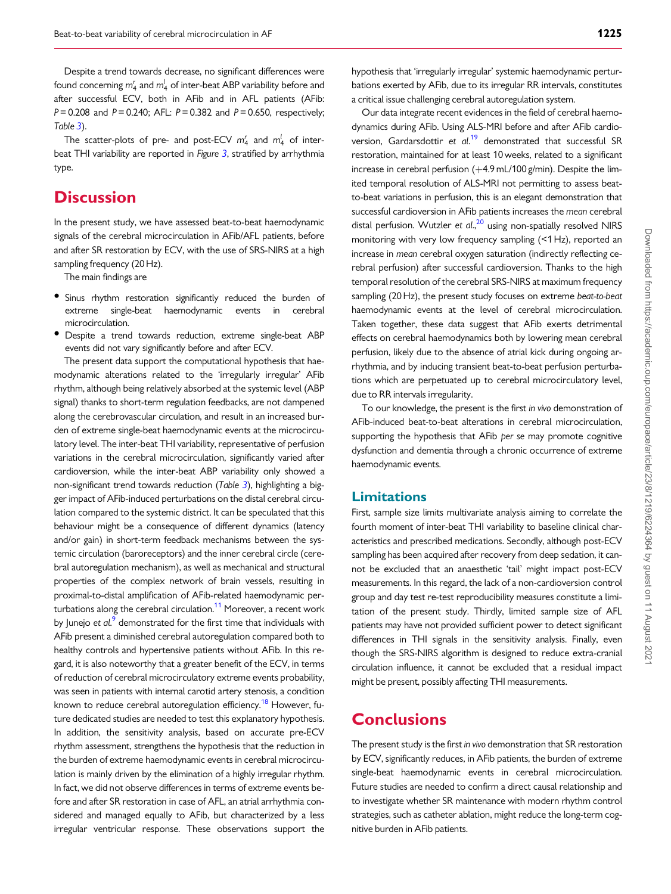Despite a trend towards decrease, no significant differences were found concerning  $m_4^\prime$  and  $m_4^\prime$  of inter-beat ABP variability before and after successful ECV, both in AFib and in AFL patients (AFib:  $P = 0.208$  and  $P = 0.240$ ; AFL:  $P = 0.382$  and  $P = 0.650$ , respectively; Table 3).

The scatter-plots of pre- and post-ECV  $m_4^r$  and  $m_4^l$  of interbeat THI variability are reported in Figure 3, stratified by arrhythmia type.

## **Discussion**

In the present study, we have assessed beat-to-beat haemodynamic signals of the cerebral microcirculation in AFib/AFL patients, before and after SR restoration by ECV, with the use of SRS-NIRS at a high sampling frequency (20 Hz).

The main findings are

- Sinus rhythm restoration significantly reduced the burden of extreme single-beat haemodynamic events in cerebral microcirculation.
- Despite a trend towards reduction, extreme single-beat ABP events did not vary significantly before and after ECV.

The present data support the computational hypothesis that haemodynamic alterations related to the 'irregularly irregular' AFib rhythm, although being relatively absorbed at the systemic level (ABP signal) thanks to short-term regulation feedbacks, are not dampened along the cerebrovascular circulation, and result in an increased burden of extreme single-beat haemodynamic events at the microcirculatory level. The inter-beat THI variability, representative of perfusion variations in the cerebral microcirculation, significantly varied after cardioversion, while the inter-beat ABP variability only showed a non-significant trend towards reduction (Table 3), highlighting a bigger impact of AFib-induced perturbations on the distal cerebral circulation compared to the systemic district. It can be speculated that this behaviour might be a consequence of different dynamics (latency and/or gain) in short-term feedback mechanisms between the systemic circulation (baroreceptors) and the inner cerebral circle (cerebral autoregulation mechanism), as well as mechanical and structural properties of the complex network of brain vessels, resulting in proximal-to-distal amplification of AFib-related haemodynamic perturbations along the cerebral circulation.<sup>11</sup> Moreover, a recent work by Junejo et al.<sup>9</sup> demonstrated for the first time that individuals with AFib present a diminished cerebral autoregulation compared both to healthy controls and hypertensive patients without AFib. In this regard, it is also noteworthy that a greater benefit of the ECV, in terms of reduction of cerebral microcirculatory extreme events probability, was seen in patients with internal carotid artery stenosis, a condition known to reduce cerebral autoregulation efficiency.<sup>18</sup> However, future dedicated studies are needed to test this explanatory hypothesis. In addition, the sensitivity analysis, based on accurate pre-ECV rhythm assessment, strengthens the hypothesis that the reduction in the burden of extreme haemodynamic events in cerebral microcirculation is mainly driven by the elimination of a highly irregular rhythm. In fact, we did not observe differences in terms of extreme events before and after SR restoration in case of AFL, an atrial arrhythmia considered and managed equally to AFib, but characterized by a less irregular ventricular response. These observations support the

hypothesis that 'irregularly irregular' systemic haemodynamic perturbations exerted by AFib, due to its irregular RR intervals, constitutes a critical issue challenging cerebral autoregulation system.

Our data integrate recent evidences in the field of cerebral haemodynamics during AFib. Using ALS-MRI before and after AFib cardioversion, Gardarsdottir et al.<sup>19</sup> demonstrated that successful SR restoration, maintained for at least 10 weeks, related to a significant increase in cerebral perfusion  $(+4.9$  mL/100 g/min). Despite the limited temporal resolution of ALS-MRI not permitting to assess beatto-beat variations in perfusion, this is an elegant demonstration that successful cardioversion in AFib patients increases the mean cerebral distal perfusion. Wutzler et al.,<sup>20</sup> using non-spatially resolved NIRS monitoring with very low frequency sampling (<1 Hz), reported an increase in mean cerebral oxygen saturation (indirectly reflecting cerebral perfusion) after successful cardioversion. Thanks to the high temporal resolution of the cerebral SRS-NIRS at maximum frequency sampling (20 Hz), the present study focuses on extreme beat-to-beat haemodynamic events at the level of cerebral microcirculation. Taken together, these data suggest that AFib exerts detrimental effects on cerebral haemodynamics both by lowering mean cerebral perfusion, likely due to the absence of atrial kick during ongoing arrhythmia, and by inducing transient beat-to-beat perfusion perturbations which are perpetuated up to cerebral microcirculatory level, due to RR intervals irregularity.

To our knowledge, the present is the first in vivo demonstration of AFib-induced beat-to-beat alterations in cerebral microcirculation, supporting the hypothesis that AFib per se may promote cognitive dysfunction and dementia through a chronic occurrence of extreme haemodynamic events.

#### Limitations

First, sample size limits multivariate analysis aiming to correlate the fourth moment of inter-beat THI variability to baseline clinical characteristics and prescribed medications. Secondly, although post-ECV sampling has been acquired after recovery from deep sedation, it cannot be excluded that an anaesthetic 'tail' might impact post-ECV measurements. In this regard, the lack of a non-cardioversion control group and day test re-test reproducibility measures constitute a limitation of the present study. Thirdly, limited sample size of AFL patients may have not provided sufficient power to detect significant differences in THI signals in the sensitivity analysis. Finally, even though the SRS-NIRS algorithm is designed to reduce extra-cranial circulation influence, it cannot be excluded that a residual impact might be present, possibly affecting THI measurements.

## **Conclusions**

The present study is the first in vivo demonstration that SR restoration by ECV, significantly reduces, in AFib patients, the burden of extreme single-beat haemodynamic events in cerebral microcirculation. Future studies are needed to confirm a direct causal relationship and to investigate whether SR maintenance with modern rhythm control strategies, such as catheter ablation, might reduce the long-term cognitive burden in AFib patients.